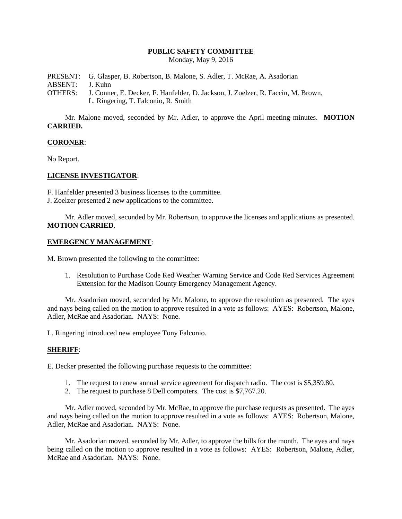# **PUBLIC SAFETY COMMITTEE**

Monday, May 9, 2016

PRESENT: G. Glasper, B. Robertson, B. Malone, S. Adler, T. McRae, A. Asadorian ABSENT: J. Kuhn OTHERS: J. Conner, E. Decker, F. Hanfelder, D. Jackson, J. Zoelzer, R. Faccin, M. Brown, L. Ringering, T. Falconio, R. Smith

Mr. Malone moved, seconded by Mr. Adler, to approve the April meeting minutes. **MOTION CARRIED.**

## **CORONER**:

No Report.

## **LICENSE INVESTIGATOR**:

F. Hanfelder presented 3 business licenses to the committee.

J. Zoelzer presented 2 new applications to the committee.

Mr. Adler moved, seconded by Mr. Robertson, to approve the licenses and applications as presented. **MOTION CARRIED**.

#### **EMERGENCY MANAGEMENT**:

M. Brown presented the following to the committee:

1. Resolution to Purchase Code Red Weather Warning Service and Code Red Services Agreement Extension for the Madison County Emergency Management Agency.

Mr. Asadorian moved, seconded by Mr. Malone, to approve the resolution as presented. The ayes and nays being called on the motion to approve resulted in a vote as follows: AYES: Robertson, Malone, Adler, McRae and Asadorian. NAYS: None.

L. Ringering introduced new employee Tony Falconio.

#### **SHERIFF**:

E. Decker presented the following purchase requests to the committee:

- 1. The request to renew annual service agreement for dispatch radio. The cost is \$5,359.80.
- 2. The request to purchase 8 Dell computers. The cost is \$7,767.20.

Mr. Adler moved, seconded by Mr. McRae, to approve the purchase requests as presented. The ayes and nays being called on the motion to approve resulted in a vote as follows: AYES: Robertson, Malone, Adler, McRae and Asadorian. NAYS: None.

Mr. Asadorian moved, seconded by Mr. Adler, to approve the bills for the month. The ayes and nays being called on the motion to approve resulted in a vote as follows: AYES: Robertson, Malone, Adler, McRae and Asadorian. NAYS: None.